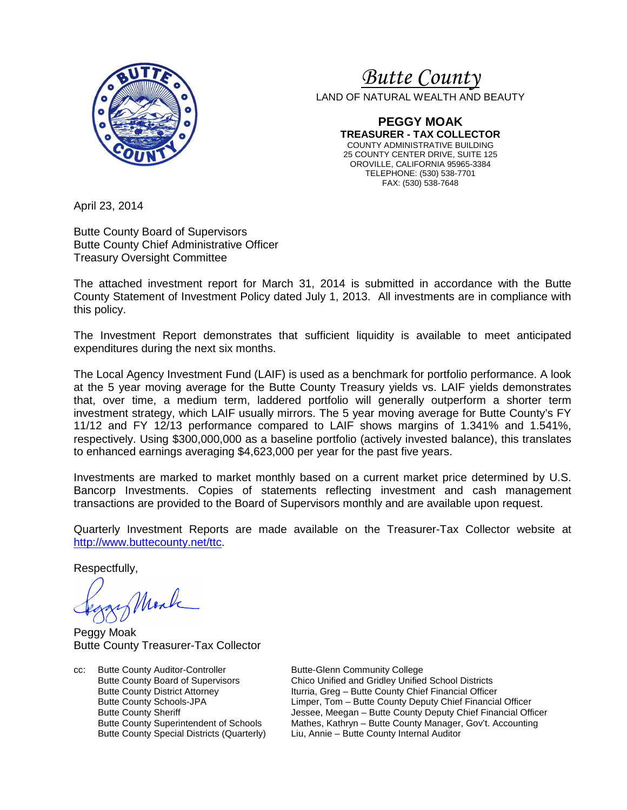

# <sup>U</sup>*Butte County*

LAND OF NATURAL WEALTH AND BEAUTY

**PEGGY MOAK TREASURER - TAX COLLECTOR**  COUNTY ADMINISTRATIVE BUILDING 25 COUNTY CENTER DRIVE, SUITE 125 OROVILLE, CALIFORNIA 95965-3384 TELEPHONE: (530) 538-7701 FAX: (530) 538-7648

April 23, 2014

Butte County Board of Supervisors Butte County Chief Administrative Officer Treasury Oversight Committee

The attached investment report for March 31, 2014 is submitted in accordance with the Butte County Statement of Investment Policy dated July 1, 2013. All investments are in compliance with this policy.

The Investment Report demonstrates that sufficient liquidity is available to meet anticipated expenditures during the next six months.

The Local Agency Investment Fund (LAIF) is used as a benchmark for portfolio performance. A look at the 5 year moving average for the Butte County Treasury yields vs. LAIF yields demonstrates that, over time, a medium term, laddered portfolio will generally outperform a shorter term investment strategy, which LAIF usually mirrors. The 5 year moving average for Butte County's FY 11/12 and FY 12/13 performance compared to LAIF shows margins of 1.341% and 1.541%, respectively. Using \$300,000,000 as a baseline portfolio (actively invested balance), this translates to enhanced earnings averaging \$4,623,000 per year for the past five years.

Investments are marked to market monthly based on a current market price determined by U.S. Bancorp Investments. Copies of statements reflecting investment and cash management transactions are provided to the Board of Supervisors monthly and are available upon request.

Quarterly Investment Reports are made available on the Treasurer-Tax Collector website at http://www.buttecounty.net/ttc.

Respectfully,

Mark

Peggy Moak Butte County Treasurer-Tax Collector

cc: Butte County Auditor-Controller Butte-Glenn Community College<br>Butte County Board of Supervisors Chico Unified and Gridley Unified

Chico Unified and Gridley Unified School Districts Butte County District Attorney Iturria, Greg – Butte County Chief Financial Officer Butte County Schools-JPA Limper, Tom – Butte County Deputy Chief Financial Officer Butte County Sheriff **The State County Sheriff** Jessee, Meegan – Butte County Deputy Chief Financial Officer Butte County Superintendent of Schools Mathes, Kathryn – Butte County Manager, Gov't. Accounting Butte County Special Districts (Quarterly) Liu, Annie – Butte County Internal Auditor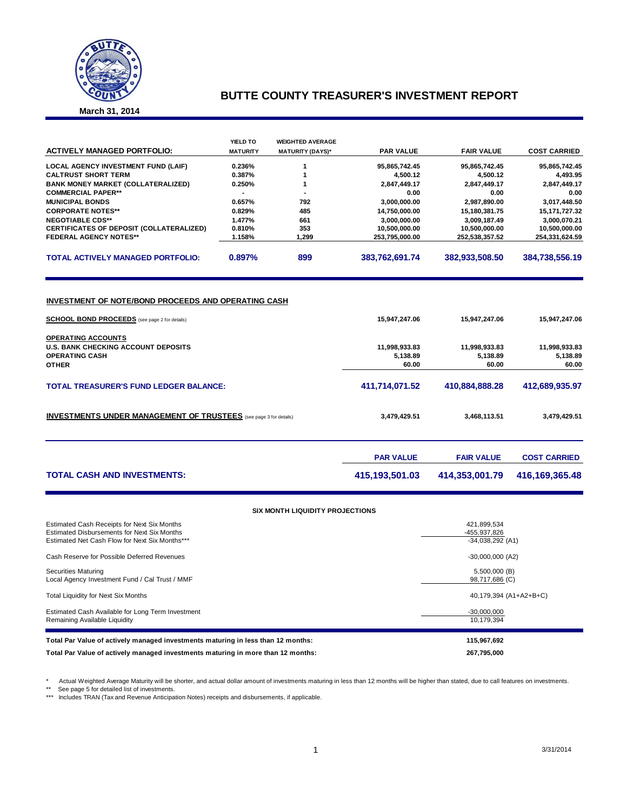

#### **BUTTE COUNTY TREASURER'S INVESTMENT REPORT**

**March 31, 2014**

|                                                                                                                    | YIELD TO        | <b>WEIGHTED AVERAGE</b>         |                    |                   |                     |  |
|--------------------------------------------------------------------------------------------------------------------|-----------------|---------------------------------|--------------------|-------------------|---------------------|--|
| <b>ACTIVELY MANAGED PORTFOLIO:</b>                                                                                 | <b>MATURITY</b> | <b>MATURITY (DAYS)*</b>         | <b>PAR VALUE</b>   | <b>FAIR VALUE</b> | <b>COST CARRIED</b> |  |
| <b>LOCAL AGENCY INVESTMENT FUND (LAIF)</b>                                                                         | 0.236%          | 1                               | 95,865,742.45      | 95,865,742.45     | 95,865,742.45       |  |
| <b>CALTRUST SHORT TERM</b>                                                                                         | 0.387%          | 1                               | 4,500.12           | 4,500.12          | 4,493.95            |  |
| <b>BANK MONEY MARKET (COLLATERALIZED)</b>                                                                          | 0.250%          | 1                               | 2,847,449.17       | 2,847,449.17      | 2,847,449.17        |  |
| <b>COMMERCIAL PAPER**</b>                                                                                          | $\blacksquare$  | ä,                              | 0.00               | 0.00              | 0.00                |  |
| <b>MUNICIPAL BONDS</b>                                                                                             | 0.657%          | 792                             | 3,000,000.00       | 2,987,890.00      | 3,017,448.50        |  |
| <b>CORPORATE NOTES**</b>                                                                                           | 0.829%          | 485                             | 14,750,000.00      | 15,180,381.75     | 15, 171, 727.32     |  |
| <b>NEGOTIABLE CDS**</b>                                                                                            | 1.477%          | 661                             | 3,000,000.00       | 3,009,187.49      | 3,000,070.21        |  |
| CERTIFICATES OF DEPOSIT (COLLATERALIZED)                                                                           | 0.810%          | 353                             | 10,500,000.00      | 10,500,000.00     | 10,500,000.00       |  |
| <b>FEDERAL AGENCY NOTES**</b>                                                                                      | 1.158%          | 1,299                           | 253,795,000.00     | 252,538,357.52    | 254,331,624.59      |  |
| <b>TOTAL ACTIVELY MANAGED PORTFOLIO:</b>                                                                           | 0.897%          | 899                             | 383,762,691.74     | 382,933,508.50    | 384,738,556.19      |  |
| <b>INVESTMENT OF NOTE/BOND PROCEEDS AND OPERATING CASH</b><br><b>SCHOOL BOND PROCEEDS</b> (see page 2 for details) |                 |                                 | 15,947,247.06      | 15,947,247.06     | 15,947,247.06       |  |
|                                                                                                                    |                 |                                 |                    |                   |                     |  |
| <b>OPERATING ACCOUNTS</b>                                                                                          |                 |                                 |                    |                   |                     |  |
| <b>U.S. BANK CHECKING ACCOUNT DEPOSITS</b>                                                                         |                 |                                 | 11,998,933.83      | 11,998,933.83     | 11,998,933.83       |  |
| <b>OPERATING CASH</b><br><b>OTHER</b>                                                                              |                 |                                 | 5,138.89<br>60.00  | 5,138.89<br>60.00 | 5,138.89<br>60.00   |  |
|                                                                                                                    |                 |                                 |                    |                   |                     |  |
| <b>TOTAL TREASURER'S FUND LEDGER BALANCE:</b>                                                                      |                 |                                 | 411,714,071.52     | 410,884,888.28    | 412,689,935.97      |  |
| <b>INVESTMENTS UNDER MANAGEMENT OF TRUSTEES</b> (see page 3 for details)                                           |                 | 3,479,429.51                    | 3,468,113.51       | 3,479,429.51      |                     |  |
|                                                                                                                    |                 |                                 | <b>PAR VALUE</b>   | <b>FAIR VALUE</b> | <b>COST CARRIED</b> |  |
| <b>TOTAL CASH AND INVESTMENTS:</b>                                                                                 |                 |                                 | 415,193,501.03     | 414,353,001.79    | 416, 169, 365. 48   |  |
|                                                                                                                    |                 | SIX MONTH LIQUIDITY PROJECTIONS |                    |                   |                     |  |
| <b>Estimated Cash Receipts for Next Six Months</b>                                                                 |                 |                                 |                    | 421,899,534       |                     |  |
| <b>Estimated Disbursements for Next Six Months</b>                                                                 |                 |                                 |                    | -455,937,826      |                     |  |
| Estimated Net Cash Flow for Next Six Months***                                                                     |                 |                                 | $-34,038,292$ (A1) |                   |                     |  |
| Cash Reserve for Possible Deferred Revenues                                                                        |                 | $-30,000,000$ (A2)              |                    |                   |                     |  |

| Total Par Value of actively managed investments maturing in less than 12 months: | 115.967.692            |
|----------------------------------------------------------------------------------|------------------------|
| Estimated Cash Available for Long Term Investment                                | $-30,000,000$          |
| Remaining Available Liquidity                                                    | 10.179.394             |
| Total Liquidity for Next Six Months                                              | 40,179,394 (A1+A2+B+C) |
| <b>Securities Maturing</b>                                                       | 5,500,000 (B)          |
| Local Agency Investment Fund / Cal Trust / MMF                                   | 98,717,686 (C)         |

**Total Par Value of actively managed investments maturing in more than 12 months: 267,795,000**

\* Actual Weighted Average Maturity will be shorter, and actual dollar amount of investments maturing in less than 12 months will be higher than stated, due to call features on investments.<br>\*\* See page 5 for detailed list o

\*\*\* Includes TRAN (Tax and Revenue Anticipation Notes) receipts and disbursements, if applicable.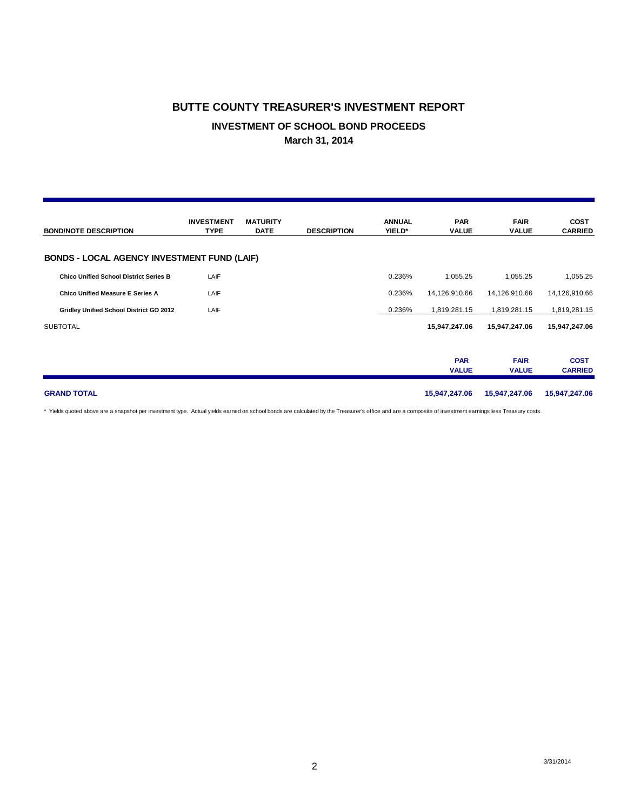#### **BUTTE COUNTY TREASURER'S INVESTMENT REPORT**

## **INVESTMENT OF SCHOOL BOND PROCEEDS**

**March 31, 2014**

| <b>BOND/NOTE DESCRIPTION</b>                       | <b>INVESTMENT</b><br><b>TYPE</b> | <b>MATURITY</b><br><b>DATE</b> | <b>DESCRIPTION</b> | <b>ANNUAL</b><br>YIELD* | <b>PAR</b><br><b>VALUE</b> | <b>FAIR</b><br><b>VALUE</b> | <b>COST</b><br><b>CARRIED</b> |
|----------------------------------------------------|----------------------------------|--------------------------------|--------------------|-------------------------|----------------------------|-----------------------------|-------------------------------|
| <b>BONDS - LOCAL AGENCY INVESTMENT FUND (LAIF)</b> |                                  |                                |                    |                         |                            |                             |                               |
| <b>Chico Unified School District Series B</b>      | LAIF                             |                                |                    | 0.236%                  | 1,055.25                   | 1,055.25                    | 1,055.25                      |
| <b>Chico Unified Measure E Series A</b>            | LAIF                             |                                |                    | 0.236%                  | 14,126,910.66              | 14,126,910.66               | 14,126,910.66                 |
| Gridley Unified School District GO 2012            | LAIF                             |                                |                    | 0.236%                  | 1,819,281.15               | 1,819,281.15                | 1,819,281.15                  |
| <b>SUBTOTAL</b>                                    |                                  |                                |                    |                         | 15,947,247.06              | 15,947,247.06               | 15,947,247.06                 |
|                                                    |                                  |                                |                    |                         | <b>PAR</b><br><b>VALUE</b> | <b>FAIR</b><br><b>VALUE</b> | <b>COST</b><br><b>CARRIED</b> |
| <b>GRAND TOTAL</b>                                 |                                  |                                |                    |                         | 15,947,247.06              | 15,947,247.06               | 15,947,247.06                 |

\* Yields quoted above are a snapshot per investment type. Actual yields earned on school bonds are calculated by the Treasurer's office and are a composite of investment earnings less Treasury costs.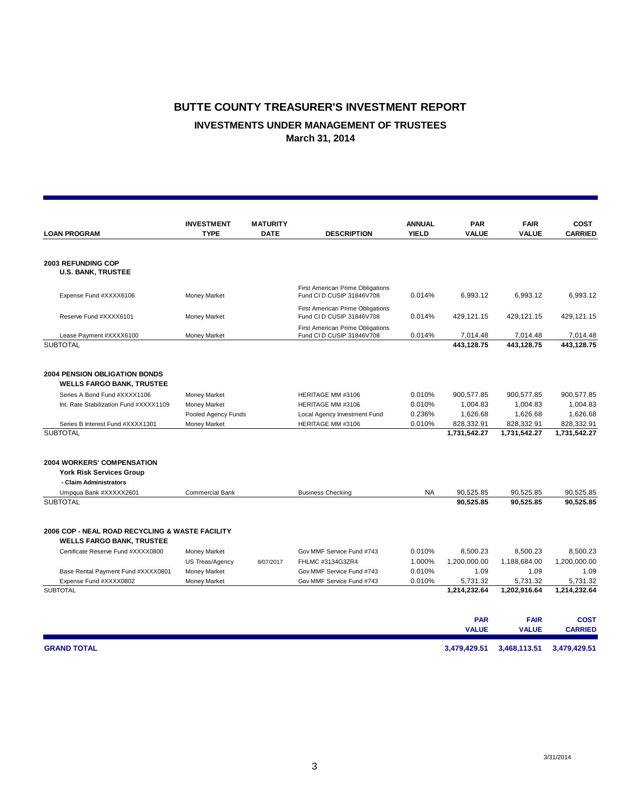## **BUTTE COUNTY TREASURER'S INVESTMENT REPORT INVESTMENTS UNDER MANAGEMENT OF TRUSTEES March 31, 2014**

|                                                 | <b>INVESTMENT</b>      | <b>MATURITY</b> |                                                                      | <b>ANNUAL</b> | <b>PAR</b>   | <b>FAIR</b>  | <b>COST</b>    |
|-------------------------------------------------|------------------------|-----------------|----------------------------------------------------------------------|---------------|--------------|--------------|----------------|
| <b>LOAN PROGRAM</b>                             | <b>TYPE</b>            | <b>DATE</b>     | <b>DESCRIPTION</b>                                                   | <b>YIELD</b>  | <b>VALUE</b> | <b>VALUE</b> | <b>CARRIED</b> |
| <b>2003 REFUNDING COP</b>                       |                        |                 |                                                                      |               |              |              |                |
| <b>U.S. BANK, TRUSTEE</b>                       |                        |                 |                                                                      |               |              |              |                |
| Expense Fund #XXXX6106                          | Money Market           |                 | First American Prime Obligations<br>Fund CI D CUSIP 31846V708        | 0.014%        | 6,993.12     | 6,993.12     | 6,993.12       |
| Reserve Fund #XXXX6101                          | Money Market           |                 | First American Prime Obligations<br>Fund CI D CUSIP 31846V708        | 0.014%        | 429,121.15   | 429,121.15   | 429,121.15     |
| Lease Payment #XXXX6100                         | Money Market           |                 | <b>First American Prime Obligations</b><br>Fund CI D CUSIP 31846V708 | 0.014%        | 7,014.48     | 7,014.48     | 7,014.48       |
| <b>SUBTOTAL</b>                                 |                        |                 |                                                                      |               | 443.128.75   | 443,128.75   | 443.128.75     |
| <b>2004 PENSION OBLIGATION BONDS</b>            |                        |                 |                                                                      |               |              |              |                |
| <b>WELLS FARGO BANK, TRUSTEE</b>                |                        |                 |                                                                      |               |              |              |                |
| Series A Bond Fund #XXXX1106                    | Money Market           |                 | HERITAGE MM #3106                                                    | 0.010%        | 900,577.85   | 900,577.85   | 900,577.85     |
| Int. Rate Stabilization Fund #XXXX1109          | Money Market           |                 | HERITAGE MM #3106                                                    | 0.010%        | 1,004.83     | 1,004.83     | 1,004.83       |
|                                                 | Pooled Agency Funds    |                 | Local Agency Investment Fund                                         | 0.236%        | 1,626.68     | 1,626.68     | 1,626.68       |
| Series B Interest Fund #XXXX1301                | Money Market           |                 | HERITAGE MM #3106                                                    | 0.010%        | 828,332.91   | 828,332.91   | 828,332.91     |
| <b>SUBTOTAL</b>                                 |                        |                 |                                                                      |               | 1,731,542.27 | 1,731,542.27 | 1,731,542.27   |
| <b>2004 WORKERS' COMPENSATION</b>               |                        |                 |                                                                      |               |              |              |                |
| <b>York Risk Services Group</b>                 |                        |                 |                                                                      |               |              |              |                |
| - Claim Administrators                          |                        |                 |                                                                      |               |              |              |                |
| Umpqua Bank #XXXXX2601                          | <b>Commercial Bank</b> |                 | <b>Business Checking</b>                                             | NA            | 90,525.85    | 90,525.85    | 90,525.85      |
| <b>SUBTOTAL</b>                                 |                        |                 |                                                                      |               | 90,525.85    | 90,525.85    | 90,525.85      |
| 2006 COP - NEAL ROAD RECYCLING & WASTE FACILITY |                        |                 |                                                                      |               |              |              |                |
| <b>WELLS FARGO BANK, TRUSTEE</b>                |                        |                 |                                                                      |               |              |              |                |
| Certificate Reserve Fund #XXXX0800              | Money Market           |                 | Gov MMF Service Fund #743                                            | 0.010%        | 8,500.23     | 8,500.23     | 8,500.23       |
|                                                 | US Treas/Agency        | 8/07/2017       | FHLMC #3134G3ZR4                                                     | 1.000%        | 1,200,000.00 | 1,188,684.00 | 1,200,000.00   |
| Base Rental Payment Fund #XXXX0801              | Money Market           |                 | Gov MMF Service Fund #743                                            | 0.010%        | 1.09         | 1.09         | 1.09           |
| Expense Fund #XXXX0802                          | Money Market           |                 | Gov MMF Service Fund #743                                            | 0.010%        | 5,731.32     | 5,731.32     | 5,731.32       |
| <b>SUBTOTAL</b>                                 |                        |                 |                                                                      |               | 1,214,232.64 | 1,202,916.64 | 1,214,232.64   |
|                                                 |                        |                 |                                                                      |               | <b>PAR</b>   | <b>FAIR</b>  | <b>COST</b>    |
|                                                 |                        |                 |                                                                      |               | <b>VALUE</b> | <b>VALUE</b> | <b>CARRIED</b> |
| <b>GRAND TOTAL</b>                              |                        |                 |                                                                      |               | 3,479,429.51 | 3,468,113.51 | 3,479,429.51   |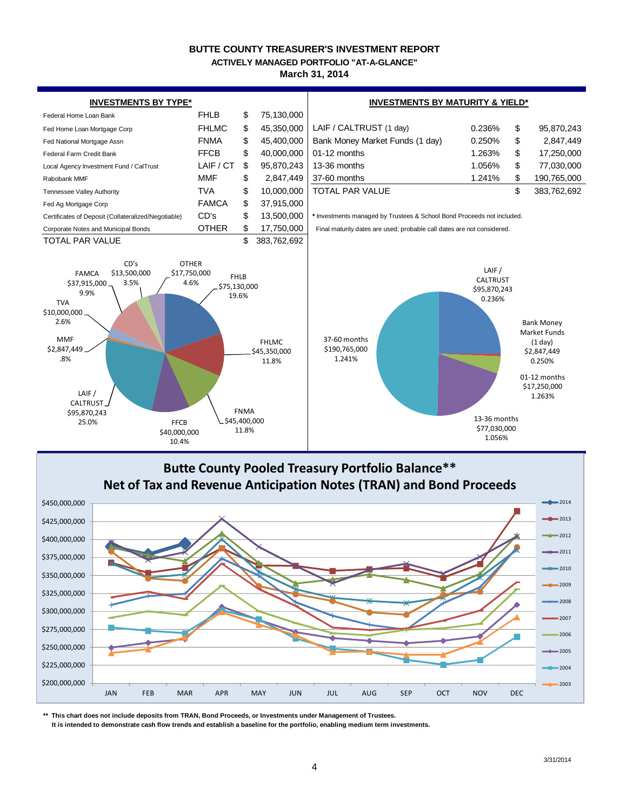#### **BUTTE COUNTY TREASURER'S INVESTMENT REPORT**

**ACTIVELY MANAGED PORTFOLIO "AT-A-GLANCE"**

#### **March 31, 2014**



\$200,000,000 \$225,000,000 \$250,000,000 \$275,000,000 \$300,000,000 \$325,000,000 \$350,000,000 \$375,000,000 \$400,000,000 \$425,000,000 \$450,000,000 JAN FEB MAR APR MAY JUN JUL AUG SEP OCT NOV DEC **Butte County Pooled Treasury Portfolio Balance\*\* Net of Tax and Revenue Anticipation Notes (TRAN) and Bond Proceeds**  $2014$  $-2013$  $2012$  $\leftarrow$  2011  $+$  $2010$  $-2009$ 2008 2007 2006 2005  $-2004$ 2003

**\*\* This chart does not include deposits from TRAN, Bond Proceeds, or Investments under Management of Trustees.**

 **It is intended to demonstrate cash flow trends and establish a baseline for the portfolio, enabling medium term investments.**